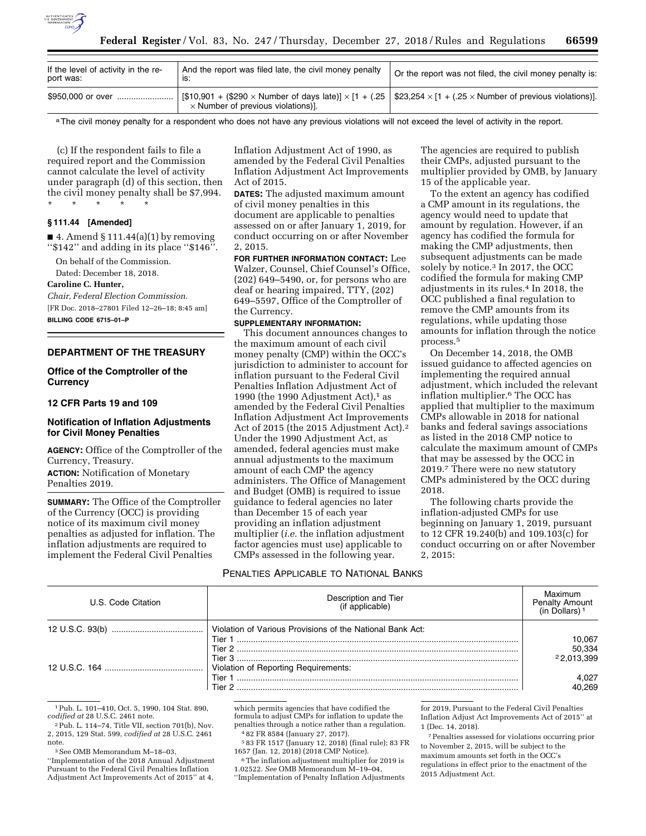

| If the level of activity in the re-<br>port was: | And the report was filed late, the civil money penalty<br>IS: | Or the report was not filed, the civil money penalty is: |
|--------------------------------------------------|---------------------------------------------------------------|----------------------------------------------------------|
| \$950,000 or over                                | $\times$ Number of previous violations)].                     |                                                          |

a The civil money penalty for a respondent who does not have any previous violations will not exceed the level of activity in the report.

(c) If the respondent fails to file a required report and the Commission cannot calculate the level of activity under paragraph (d) of this section, then the civil money penalty shall be \$7,994. \* \* \* \* \*

#### **§ 111.44 [Amended]**

 $\blacksquare$  4. Amend § 111.44(a)(1) by removing ''\$142'' and adding in its place ''\$146''.

On behalf of the Commission.

Dated: December 18, 2018.

### **Caroline C. Hunter,**

*Chair, Federal Election Commission.*  [FR Doc. 2018–27801 Filed 12–26–18; 8:45 am] **BILLING CODE 6715–01–P** 

## **DEPARTMENT OF THE TREASURY**

### **Office of the Comptroller of the Currency**

### **12 CFR Parts 19 and 109**

### **Notification of Inflation Adjustments for Civil Money Penalties**

**AGENCY:** Office of the Comptroller of the Currency, Treasury.

**ACTION:** Notification of Monetary Penalties 2019.

**SUMMARY:** The Office of the Comptroller of the Currency (OCC) is providing notice of its maximum civil money penalties as adjusted for inflation. The inflation adjustments are required to implement the Federal Civil Penalties

Inflation Adjustment Act of 1990, as amended by the Federal Civil Penalties Inflation Adjustment Act Improvements Act of 2015.

**DATES:** The adjusted maximum amount of civil money penalties in this document are applicable to penalties assessed on or after January 1, 2019, for conduct occurring on or after November 2, 2015.

**FOR FURTHER INFORMATION CONTACT:** Lee Walzer, Counsel, Chief Counsel's Office, (202) 649–5490, or, for persons who are deaf or hearing impaired, TTY, (202) 649–5597, Office of the Comptroller of the Currency.

### **SUPPLEMENTARY INFORMATION:**

This document announces changes to the maximum amount of each civil money penalty (CMP) within the OCC's jurisdiction to administer to account for inflation pursuant to the Federal Civil Penalties Inflation Adjustment Act of 1990 (the 1990 Adjustment Act), $1$  as amended by the Federal Civil Penalties Inflation Adjustment Act Improvements Act of 2015 (the 2015 Adjustment Act).2 Under the 1990 Adjustment Act, as amended, federal agencies must make annual adjustments to the maximum amount of each CMP the agency administers. The Office of Management and Budget (OMB) is required to issue guidance to federal agencies no later than December 15 of each year providing an inflation adjustment multiplier (*i.e.* the inflation adjustment factor agencies must use) applicable to CMPs assessed in the following year.

The agencies are required to publish their CMPs, adjusted pursuant to the multiplier provided by OMB, by January 15 of the applicable year.

To the extent an agency has codified a CMP amount in its regulations, the agency would need to update that amount by regulation. However, if an agency has codified the formula for making the CMP adjustments, then subsequent adjustments can be made solely by notice.3 In 2017, the OCC codified the formula for making CMP adjustments in its rules.4 In 2018, the OCC published a final regulation to remove the CMP amounts from its regulations, while updating those amounts for inflation through the notice process.5

On December 14, 2018, the OMB issued guidance to affected agencies on implementing the required annual adjustment, which included the relevant inflation multiplier.6 The OCC has applied that multiplier to the maximum CMPs allowable in 2018 for national banks and federal savings associations as listed in the 2018 CMP notice to calculate the maximum amount of CMPs that may be assessed by the OCC in 2019.7 There were no new statutory CMPs administered by the OCC during 2018.

The following charts provide the inflation-adjusted CMPs for use beginning on January 1, 2019, pursuant to 12 CFR 19.240(b) and 109.103(c) for conduct occurring on or after November 2, 2015:

### PENALTIES APPLICABLE TO NATIONAL BANKS

| U.S. Code Citation | Description and Tier<br>(if applicable)                   | Maximum<br>Penalty Amount<br>(in Dollars) <sup>1</sup> |
|--------------------|-----------------------------------------------------------|--------------------------------------------------------|
|                    | Violation of Various Provisions of the National Bank Act: |                                                        |
|                    | Tier 1                                                    | 10,067                                                 |
|                    |                                                           | 50,334                                                 |
|                    | Tier $3$                                                  | 2 2 0 1 3 3 9 9                                        |
|                    | Violation of Reporting Requirements:                      |                                                        |
|                    | Tier 1                                                    | 4.027                                                  |
|                    | Tier 2                                                    | 40.269                                                 |

1Pub. L. 101–410, Oct. 5, 1990, 104 Stat. 890, *codified at* 28 U.S.C. 2461 note.

3See OMB Memorandum M–18–03,

''Implementation of the 2018 Annual Adjustment Pursuant to the Federal Civil Penalties Inflation Adjustment Act Improvements Act of 2015'' at 4,

which permits agencies that have codified the formula to adjust CMPs for inflation to update the penalties through a notice rather than a regulation. 4 82 FR 8584 (January 27, 2017).

5 83 FR 1517 (January 12, 2018) (final rule); 83 FR 1657 (Jan. 12, 2018) (2018 CMP Notice).

6The inflation adjustment multiplier for 2019 is 1.02522. *See* OMB Memorandum M–19–04,

''Implementation of Penalty Inflation Adjustments

for 2019, Pursuant to the Federal Civil Penalties Inflation Adjust Act Improvements Act of 2015'' at 1 (Dec. 14, 2018).

7Penalties assessed for violations occurring prior to November 2, 2015, will be subject to the maximum amounts set forth in the OCC's regulations in effect prior to the enactment of the 2015 Adjustment Act.

<sup>2</sup>Pub. L. 114–74, Title VII, section 701(b), Nov. 2, 2015, 129 Stat. 599, *codified at* 28 U.S.C. 2461 note.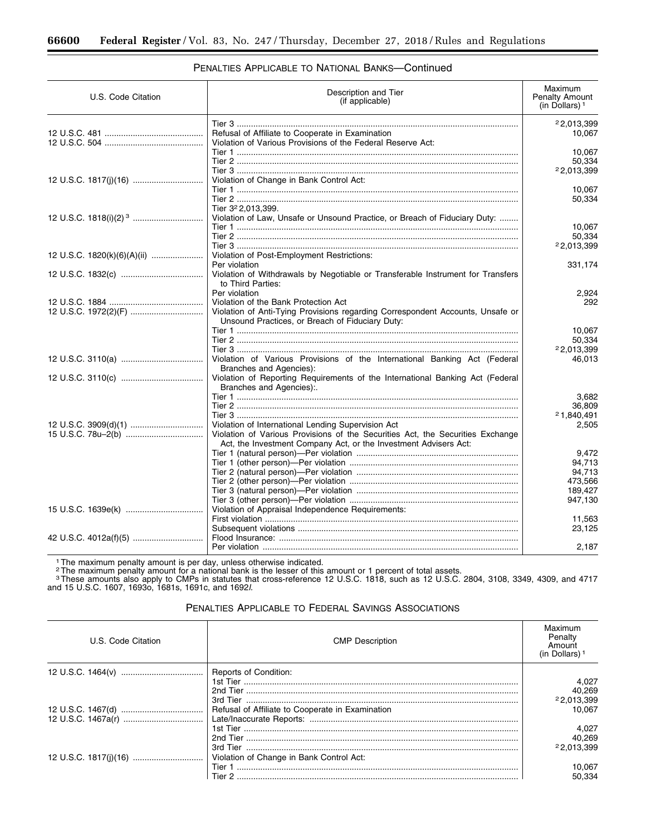# PENALTIES APPLICABLE TO NATIONAL BANKS—Continued

| U.S. Code Citation          | Description and Tier<br>(if applicable)                                                                                                                                                                  | Maximum<br><b>Penalty Amount</b><br>(in Dollars) $1$ |
|-----------------------------|----------------------------------------------------------------------------------------------------------------------------------------------------------------------------------------------------------|------------------------------------------------------|
|                             | Refusal of Affiliate to Cooperate in Examination<br>Violation of Various Provisions of the Federal Reserve Act:                                                                                          | 22,013,399<br>10,067                                 |
|                             |                                                                                                                                                                                                          | 10,067<br>50.334<br>22,013,399                       |
|                             | Violation of Change in Bank Control Act:                                                                                                                                                                 | 10,067                                               |
|                             | Tier 3 <sup>2</sup> 2,013,399.<br>Violation of Law, Unsafe or Unsound Practice, or Breach of Fiduciary Duty:                                                                                             | 50,334                                               |
|                             |                                                                                                                                                                                                          | 10,067<br>50.334<br>22,013,399                       |
| 12 U.S.C. 1820(k)(6)(A)(ii) | Violation of Post-Employment Restrictions:<br>Per violation                                                                                                                                              | 331,174                                              |
|                             | Violation of Withdrawals by Negotiable or Transferable Instrument for Transfers<br>to Third Parties:                                                                                                     |                                                      |
|                             | Per violation<br>Violation of the Bank Protection Act<br>Violation of Anti-Tying Provisions regarding Correspondent Accounts, Unsafe or                                                                  | 2,924<br>292                                         |
|                             | Unsound Practices, or Breach of Fiduciary Duty:                                                                                                                                                          | 10.067<br>50.334<br>22,013,399                       |
|                             | Violation of Various Provisions of the International Banking Act (Federal<br>Branches and Agencies):                                                                                                     | 46,013                                               |
|                             | Violation of Reporting Requirements of the International Banking Act (Federal<br>Branches and Agencies):.                                                                                                |                                                      |
|                             |                                                                                                                                                                                                          | 3.682<br>36.809<br>21,840,491                        |
|                             | Violation of International Lending Supervision Act<br>Violation of Various Provisions of the Securities Act, the Securities Exchange<br>Act, the Investment Company Act, or the Investment Advisers Act: | 2,505                                                |
|                             |                                                                                                                                                                                                          | 9,472<br>94,713                                      |
|                             |                                                                                                                                                                                                          | 94.713<br>473,566<br>189,427                         |
|                             | Violation of Appraisal Independence Requirements:                                                                                                                                                        | 947,130                                              |
|                             |                                                                                                                                                                                                          | 11,563<br>23,125                                     |
|                             |                                                                                                                                                                                                          | 2,187                                                |

<sup>1</sup> The maximum penalty amount is per day, unless otherwise indicated.<br><sup>2</sup> The maximum penalty amount for a national bank is the lesser of this amount or 1 percent of total assets.<br><sup>3</sup> These amounts also apply to CMPs in s and 15 U.S.C. 1607, 1693o, 1681s, 1691c, and 1692*l.* 

| U.S. Code Citation | <b>CMP</b> Description | Maximum<br>Penalty<br>Amount<br>(in Dollars) |
|--------------------|------------------------|----------------------------------------------|
|                    | Reports of Condition:  |                                              |
|                    |                        | 4,027                                        |
|                    |                        | 40.269                                       |
|                    |                        | 22,013,399                                   |
|                    |                        | 10.067                                       |
|                    |                        |                                              |
|                    |                        | 4.027                                        |
|                    |                        | 40,269                                       |
|                    |                        | 22.013.399                                   |
|                    |                        |                                              |
|                    |                        | 10.067                                       |
|                    |                        | 50.334                                       |

PENALTIES APPLICABLE TO FEDERAL SAVINGS ASSOCIATIONS